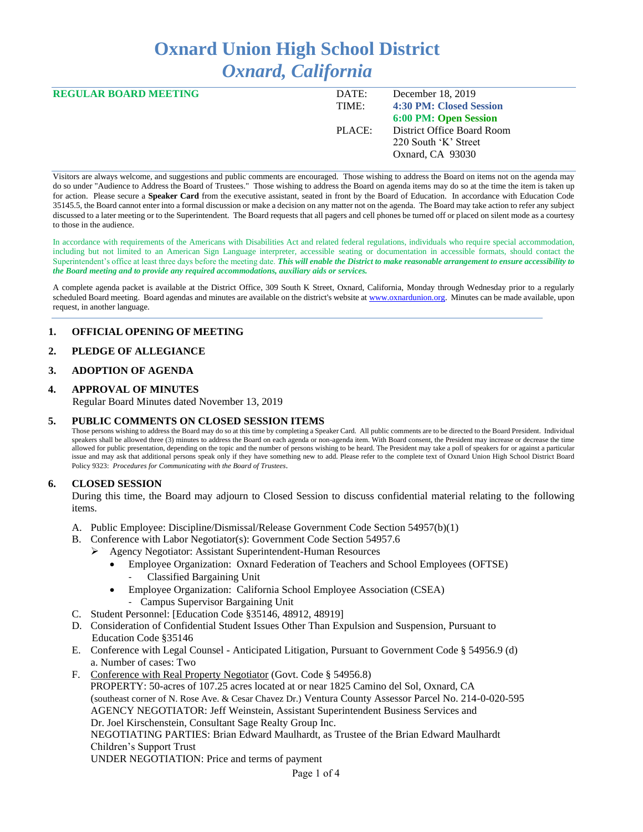# **Oxnard Union High School District** *Oxnard, California*

| <b>REGULAR BOARD MEETING</b> | DATE:  | December 18, 2019          |
|------------------------------|--------|----------------------------|
|                              | TIME:  | 4:30 PM: Closed Session    |
|                              |        | 6:00 PM: Open Session      |
|                              | PLACE: | District Office Board Room |
|                              |        | 220 South 'K' Street       |
|                              |        | Oxnard, CA 93030           |
|                              |        |                            |

Visitors are always welcome, and suggestions and public comments are encouraged. Those wishing to address the Board on items not on the agenda may do so under "Audience to Address the Board of Trustees." Those wishing to address the Board on agenda items may do so at the time the item is taken up for action. Please secure a **Speaker Card** from the executive assistant, seated in front by the Board of Education. In accordance with Education Code 35145.5, the Board cannot enter into a formal discussion or make a decision on any matter not on the agenda. The Board may take action to refer any subject discussed to a later meeting or to the Superintendent. The Board requests that all pagers and cell phones be turned off or placed on silent mode as a courtesy to those in the audience.

In accordance with requirements of the Americans with Disabilities Act and related federal regulations, individuals who require special accommodation, including but not limited to an American Sign Language interpreter, accessible seating or documentation in accessible formats, should contact the Superintendent's office at least three days before the meeting date. *This will enable the District to make reasonable arrangement to ensure accessibility to the Board meeting and to provide any required accommodations, auxiliary aids or services.* 

A complete agenda packet is available at the District Office, 309 South K Street, Oxnard, California, Monday through Wednesday prior to a regularly scheduled Board meeting. Board agendas and minutes are available on the district's website a[t www.ox](http://www.o/)nardunion.org.Minutes can be made available, upon request, in another language.

## **1. OFFICIAL OPENING OF MEETING**

#### **2. PLEDGE OF ALLEGIANCE**

#### **3. ADOPTION OF AGENDA**

#### **4. APPROVAL OF MINUTES**

Regular Board Minutes dated November 13, 2019

#### **5. PUBLIC COMMENTS ON CLOSED SESSION ITEMS**

Those persons wishing to address the Board may do so at this time by completing a Speaker Card. All public comments are to be directed to the Board President. Individual speakers shall be allowed three (3) minutes to address the Board on each agenda or non-agenda item. With Board consent, the President may increase or decrease the time allowed for public presentation, depending on the topic and the number of persons wishing to be heard. The President may take a poll of speakers for or against a particular issue and may ask that additional persons speak only if they have something new to add. Please refer to the complete text of Oxnard Union High School District Board Policy 9323: *Procedures for Communicating with the Board of Trustees*.

#### **6. CLOSED SESSION**

During this time, the Board may adjourn to Closed Session to discuss confidential material relating to the following items.

- A. Public Employee: Discipline/Dismissal/Release Government Code Section 54957(b)(1)
- B. Conference with Labor Negotiator(s): Government Code Section 54957.6
	- ➢ Agency Negotiator: Assistant Superintendent-Human Resources
		- Employee Organization: Oxnard Federation of Teachers and School Employees (OFTSE)
			- Classified Bargaining Unit
		- Employee Organization: California School Employee Association (CSEA) - Campus Supervisor Bargaining Unit
- C. Student Personnel: [Education Code §35146, 48912, 48919]
- D. Consideration of Confidential Student Issues Other Than Expulsion and Suspension, Pursuant to Education Code §35146
- E. Conference with Legal Counsel Anticipated Litigation, Pursuant to Government Code § 54956.9 (d) a. Number of cases: Two
- F. Conference with Real Property Negotiator (Govt. Code § 54956.8) PROPERTY: 50-acres of 107.25 acres located at or near 1825 Camino del Sol, Oxnard, CA (southeast corner of N. Rose Ave. & Cesar Chavez Dr.) Ventura County Assessor Parcel No. 214-0-020-595 AGENCY NEGOTIATOR: Jeff Weinstein, Assistant Superintendent Business Services and Dr. Joel Kirschenstein, Consultant Sage Realty Group Inc. NEGOTIATING PARTIES: Brian Edward Maulhardt, as Trustee of the Brian Edward Maulhardt Children's Support Trust UNDER NEGOTIATION: Price and terms of payment

Page 1 of 4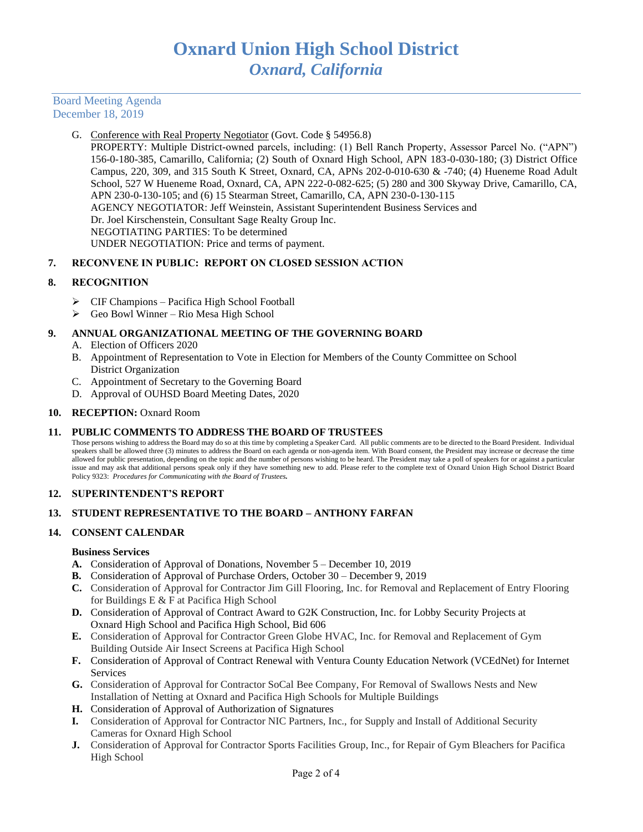## Board Meeting Agenda December 18, 2019

#### G. Conference with Real Property Negotiator (Govt. Code § 54956.8)

PROPERTY: Multiple District-owned parcels, including: (1) Bell Ranch Property, Assessor Parcel No. ("APN") 156-0-180-385, Camarillo, California; (2) South of Oxnard High School, APN 183-0-030-180; (3) District Office Campus, 220, 309, and 315 South K Street, Oxnard, CA, APNs 202-0-010-630 & -740; (4) Hueneme Road Adult School, 527 W Hueneme Road, Oxnard, CA, APN 222-0-082-625; (5) 280 and 300 Skyway Drive, Camarillo, CA, APN 230-0-130-105; and (6) 15 Stearman Street, Camarillo, CA, APN 230-0-130-115 AGENCY NEGOTIATOR: Jeff Weinstein, Assistant Superintendent Business Services and Dr. Joel Kirschenstein, Consultant Sage Realty Group Inc. NEGOTIATING PARTIES: To be determined UNDER NEGOTIATION: Price and terms of payment.

## **7. RECONVENE IN PUBLIC: REPORT ON CLOSED SESSION ACTION**

## **8. RECOGNITION**

- ➢ CIF Champions Pacifica High School Football
- ➢ Geo Bowl Winner Rio Mesa High School

## **9. ANNUAL ORGANIZATIONAL MEETING OF THE GOVERNING BOARD**

- A. Election of Officers 2020
- B. Appointment of Representation to Vote in Election for Members of the County Committee on School District Organization
- C. Appointment of Secretary to the Governing Board
- D. Approval of OUHSD Board Meeting Dates, 2020

## 10. **RECEPTION:** Oxnard Room

## **11. PUBLIC COMMENTS TO ADDRESS THE BOARD OF TRUSTEES**

Those persons wishing to address the Board may do so at this time by completing a Speaker Card. All public comments are to be directed to the Board President. Individual speakers shall be allowed three (3) minutes to address the Board on each agenda or non-agenda item. With Board consent, the President may increase or decrease the time allowed for public presentation, depending on the topic and the number of persons wishing to be heard. The President may take a poll of speakers for or against a particular issue and may ask that additional persons speak only if they have something new to add. Please refer to the complete text of Oxnard Union High School District Board Policy 9323: *Procedures for Communicating with the Board of Trustees.*

## **12. SUPERINTENDENT'S REPORT**

## **13. STUDENT REPRESENTATIVE TO THE BOARD – ANTHONY FARFAN**

## **14. CONSENT CALENDAR**

## **Business Services**

- **A.** Consideration of Approval of Donations, November 5 December 10, 2019
- **B.** Consideration of Approval of Purchase Orders, October 30 December 9, 2019
- **C.** Consideration of Approval for Contractor Jim Gill Flooring, Inc. for Removal and Replacement of Entry Flooring for Buildings E & F at Pacifica High School
- **D.** Consideration of Approval of Contract Award to G2K Construction, Inc. for Lobby Security Projects at Oxnard High School and Pacifica High School, Bid 606
- **E.** Consideration of Approval for Contractor Green Globe HVAC, Inc. for Removal and Replacement of Gym Building Outside Air Insect Screens at Pacifica High School
- **F.** Consideration of Approval of Contract Renewal with Ventura County Education Network (VCEdNet) for Internet Services
- **G.** Consideration of Approval for Contractor SoCal Bee Company, For Removal of Swallows Nests and New Installation of Netting at Oxnard and Pacifica High Schools for Multiple Buildings
- **H.** Consideration of Approval of Authorization of Signatures
- **I.** Consideration of Approval for Contractor NIC Partners, Inc., for Supply and Install of Additional Security Cameras for Oxnard High School
- **J.** Consideration of Approval for Contractor Sports Facilities Group, Inc., for Repair of Gym Bleachers for Pacifica High School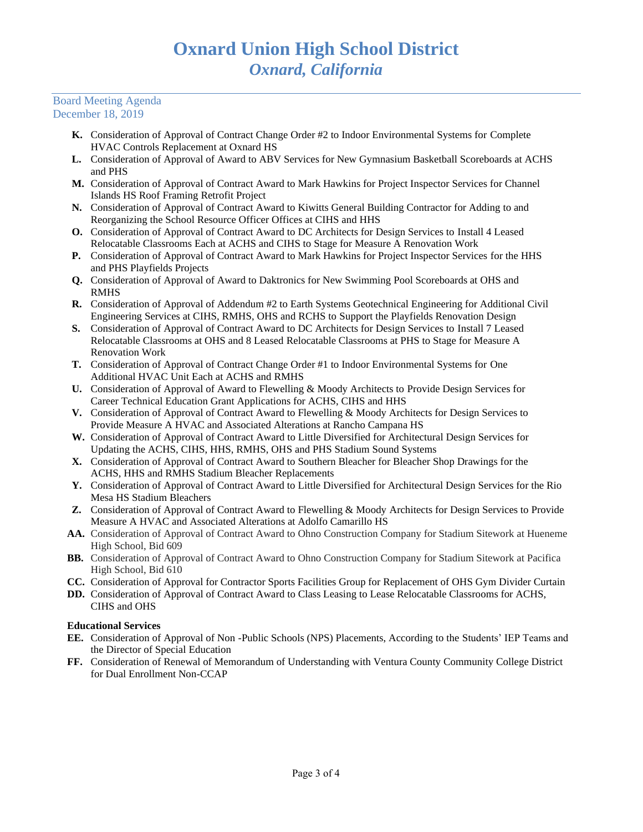#### Board Meeting Agenda December 18, 2019

- **K.** Consideration of Approval of Contract Change Order #2 to Indoor Environmental Systems for Complete HVAC Controls Replacement at Oxnard HS
- **L.** Consideration of Approval of Award to ABV Services for New Gymnasium Basketball Scoreboards at ACHS and PHS
- **M.** Consideration of Approval of Contract Award to Mark Hawkins for Project Inspector Services for Channel Islands HS Roof Framing Retrofit Project
- **N.** Consideration of Approval of Contract Award to Kiwitts General Building Contractor for Adding to and Reorganizing the School Resource Officer Offices at CIHS and HHS
- **O.** Consideration of Approval of Contract Award to DC Architects for Design Services to Install 4 Leased Relocatable Classrooms Each at ACHS and CIHS to Stage for Measure A Renovation Work
- **P.** Consideration of Approval of Contract Award to Mark Hawkins for Project Inspector Services for the HHS and PHS Playfields Projects
- **Q.** Consideration of Approval of Award to Daktronics for New Swimming Pool Scoreboards at OHS and RMHS
- **R.** Consideration of Approval of Addendum #2 to Earth Systems Geotechnical Engineering for Additional Civil Engineering Services at CIHS, RMHS, OHS and RCHS to Support the Playfields Renovation Design
- **S.** Consideration of Approval of Contract Award to DC Architects for Design Services to Install 7 Leased Relocatable Classrooms at OHS and 8 Leased Relocatable Classrooms at PHS to Stage for Measure A Renovation Work
- **T.** Consideration of Approval of Contract Change Order #1 to Indoor Environmental Systems for One Additional HVAC Unit Each at ACHS and RMHS
- **U.** Consideration of Approval of Award to Flewelling & Moody Architects to Provide Design Services for Career Technical Education Grant Applications for ACHS, CIHS and HHS
- **V.** Consideration of Approval of Contract Award to Flewelling & Moody Architects for Design Services to Provide Measure A HVAC and Associated Alterations at Rancho Campana HS
- **W.** Consideration of Approval of Contract Award to Little Diversified for Architectural Design Services for Updating the ACHS, CIHS, HHS, RMHS, OHS and PHS Stadium Sound Systems
- **X.** Consideration of Approval of Contract Award to Southern Bleacher for Bleacher Shop Drawings for the ACHS, HHS and RMHS Stadium Bleacher Replacements
- **Y.** Consideration of Approval of Contract Award to Little Diversified for Architectural Design Services for the Rio Mesa HS Stadium Bleachers
- **Z.** Consideration of Approval of Contract Award to Flewelling & Moody Architects for Design Services to Provide Measure A HVAC and Associated Alterations at Adolfo Camarillo HS
- **AA.** Consideration of Approval of Contract Award to Ohno Construction Company for Stadium Sitework at Hueneme High School, Bid 609
- **BB.** Consideration of Approval of Contract Award to Ohno Construction Company for Stadium Sitework at Pacifica High School, Bid 610
- **CC.** Consideration of Approval for Contractor Sports Facilities Group for Replacement of OHS Gym Divider Curtain
- **DD.** Consideration of Approval of Contract Award to Class Leasing to Lease Relocatable Classrooms for ACHS, CIHS and OHS

# **Educational Services**

- **EE.** Consideration of Approval of Non -Public Schools (NPS) Placements, According to the Students' IEP Teams and the Director of Special Education
- **FF.** Consideration of Renewal of Memorandum of Understanding with Ventura County Community College District for Dual Enrollment Non-CCAP